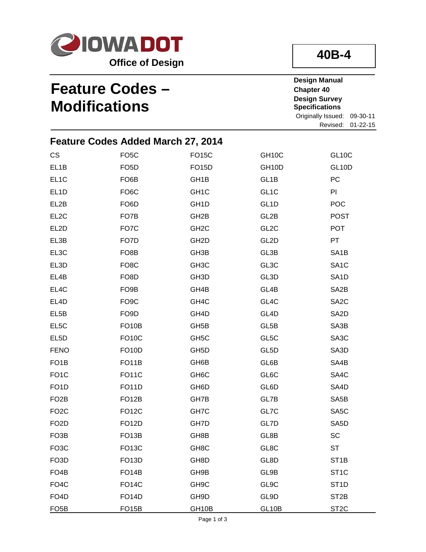

# **40B-4**

## **Feature Codes – Modifications**

**Design Manual Chapter 40 Design Survey Specifications** Originally Issued: 09-30-11

Revised: 01-22-15

|                   | <b>Feature Codes Added March 27, 2014</b> |                   |                    |                    |
|-------------------|-------------------------------------------|-------------------|--------------------|--------------------|
| CS                | FO <sub>5</sub> C                         | <b>FO15C</b>      | GH <sub>10</sub> C | <b>GL10C</b>       |
| EL1B              | FO <sub>5</sub> D                         | <b>FO15D</b>      | GH <sub>10</sub> D | GL <sub>10</sub> D |
| EL <sub>1</sub> C | FO <sub>6</sub> B                         | GH <sub>1</sub> B | GL <sub>1</sub> B  | PC                 |
| EL <sub>1</sub> D | FO <sub>6</sub> C                         | GH <sub>1</sub> C | GL <sub>1</sub> C  | PI                 |
| EL2B              | FO <sub>6</sub> D                         | GH <sub>1</sub> D | GL <sub>1</sub> D  | POC                |
| EL <sub>2</sub> C | FO7B                                      | GH <sub>2</sub> B | GL2B               | <b>POST</b>        |
| EL2D              | FO7C                                      | GH <sub>2</sub> C | GL <sub>2</sub> C  | <b>POT</b>         |
| EL3B              | FO7D                                      | GH <sub>2</sub> D | GL <sub>2</sub> D  | PT                 |
| EL3C              | FO <sub>8</sub> B                         | GH <sub>3</sub> B | GL3B               | SA <sub>1</sub> B  |
| EL3D              | FO <sub>8</sub> C                         | GH <sub>3</sub> C | GL3C               | SA <sub>1</sub> C  |
| EL4B              | FO <sub>8</sub> D                         | GH <sub>3</sub> D | GL3D               | SA <sub>1</sub> D  |
| EL4C              | FO <sub>9</sub> B                         | GH4B              | GL <sub>4</sub> B  | SA <sub>2</sub> B  |
| EL4D              | FO <sub>9</sub> C                         | GH <sub>4</sub> C | GL4C               | SA <sub>2</sub> C  |
| EL5B              | FO <sub>9</sub> D                         | GH4D              | GL <sub>4</sub> D  | SA <sub>2</sub> D  |
| EL5C              | FO <sub>10</sub> B                        | GH <sub>5</sub> B | GL5B               | SA3B               |
| EL <sub>5</sub> D | <b>FO10C</b>                              | GH <sub>5</sub> C | GL5C               | SA3C               |
| <b>FENO</b>       | <b>FO10D</b>                              | GH <sub>5</sub> D | GL <sub>5</sub> D  | SA3D               |
| FO <sub>1</sub> B | FO <sub>1</sub> 1B                        | GH6B              | GL6B               | SA4B               |
| FO <sub>1</sub> C | <b>FO11C</b>                              | GH <sub>6</sub> C | GL6C               | SA4C               |
| FO <sub>1</sub> D | <b>FO11D</b>                              | GH6D              | GL6D               | SA4D               |
| FO <sub>2</sub> B | <b>FO12B</b>                              | GH7B              | GL7B               | SA <sub>5</sub> B  |
| FO <sub>2</sub> C | <b>FO12C</b>                              | GH7C              | GL7C               | SA5C               |
| FO <sub>2</sub> D | <b>FO12D</b>                              | GH7D              | GL7D               | SA <sub>5</sub> D  |
| FO <sub>3</sub> B | FO <sub>13</sub> B                        | GH8B              | GL8B               | SC                 |
| FO <sub>3</sub> C | <b>FO13C</b>                              | GH <sub>8</sub> C | GL8C               | ST                 |
| FO <sub>3</sub> D | <b>FO13D</b>                              | GH8D              | GL8D               | ST <sub>1</sub> B  |
| FO <sub>4</sub> B | FO <sub>14</sub> B                        | GH9B              | GL9B               | ST <sub>1</sub> C  |
| FO <sub>4</sub> C | <b>FO14C</b>                              | GH <sub>9</sub> C | GL9C               | ST <sub>1</sub> D  |
| FO <sub>4</sub> D | <b>FO14D</b>                              | GH9D              | GL9D               | ST <sub>2</sub> B  |
| <b>FO5B</b>       | <b>FO15B</b>                              | GH10B             | <b>GL10B</b>       | ST <sub>2C</sub>   |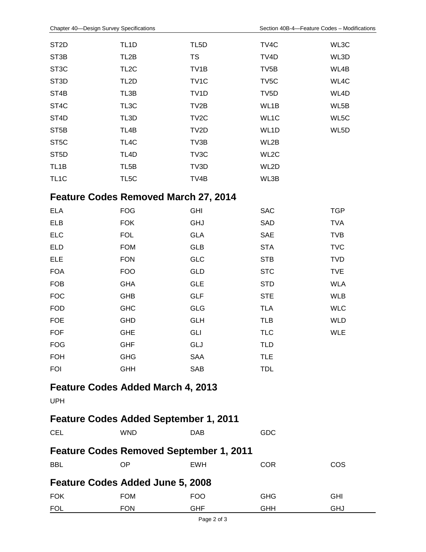FOK **FOL** 

FOM FON

| ST <sub>2</sub> D                              | TL <sub>1</sub> D                            | TL <sub>5</sub> D | TV4C              | WL3C       |
|------------------------------------------------|----------------------------------------------|-------------------|-------------------|------------|
| ST <sub>3</sub> B                              | TL <sub>2</sub> B                            | <b>TS</b>         | TV <sub>4</sub> D | WL3D       |
| ST <sub>3</sub> C                              | TL <sub>2</sub> C                            | TV <sub>1</sub> B | TV <sub>5</sub> B | WL4B       |
| ST <sub>3</sub> D                              | TL <sub>2</sub> D                            | TV <sub>1</sub> C | TV <sub>5</sub> C | WL4C       |
| ST4B                                           | TL3B                                         | TV <sub>1</sub> D | TV <sub>5</sub> D | WL4D       |
| ST <sub>4</sub> C                              | TL3C                                         | TV <sub>2</sub> B | WL1B              | WL5B       |
| ST <sub>4</sub> D                              | TL3D                                         | TV <sub>2</sub> C | WL1C              | WL5C       |
| ST <sub>5</sub> B                              | TL <sub>4</sub> B                            | TV2D              | WL1D              | WL5D       |
| ST <sub>5</sub> C                              | TL4C                                         | TV3B              | WL2B              |            |
| ST <sub>5</sub> D                              | TL <sub>4</sub> D                            | TV3C              | WL2C              |            |
| TL <sub>1</sub> B                              | TL <sub>5</sub> B                            | TV3D              | WL2D              |            |
| TL <sub>1</sub> C                              | TL <sub>5</sub> C                            | TV4B              | WL3B              |            |
|                                                | <b>Feature Codes Removed March 27, 2014</b>  |                   |                   |            |
| <b>ELA</b>                                     | <b>FOG</b>                                   | <b>GHI</b>        | <b>SAC</b>        | <b>TGP</b> |
| <b>ELB</b>                                     | <b>FOK</b>                                   | <b>GHJ</b>        | SAD               | <b>TVA</b> |
| <b>ELC</b>                                     | <b>FOL</b>                                   | <b>GLA</b>        | <b>SAE</b>        | <b>TVB</b> |
| <b>ELD</b>                                     | <b>FOM</b>                                   | <b>GLB</b>        | <b>STA</b>        | <b>TVC</b> |
| <b>ELE</b>                                     | <b>FON</b>                                   | <b>GLC</b>        | <b>STB</b>        | <b>TVD</b> |
| <b>FOA</b>                                     | <b>FOO</b>                                   | GLD               | <b>STC</b>        | <b>TVE</b> |
| <b>FOB</b>                                     | <b>GHA</b>                                   | <b>GLE</b>        | <b>STD</b>        | <b>WLA</b> |
| <b>FOC</b>                                     | <b>GHB</b>                                   | <b>GLF</b>        | <b>STE</b>        | <b>WLB</b> |
| <b>FOD</b>                                     | <b>GHC</b>                                   | GLG               | <b>TLA</b>        | <b>WLC</b> |
| <b>FOE</b>                                     | <b>GHD</b>                                   | <b>GLH</b>        | <b>TLB</b>        | <b>WLD</b> |
| <b>FOF</b>                                     | <b>GHE</b>                                   | GLI               | <b>TLC</b>        | <b>WLE</b> |
| <b>FOG</b>                                     | <b>GHF</b>                                   | GLJ               | <b>TLD</b>        |            |
| <b>FOH</b>                                     | <b>GHG</b>                                   | <b>SAA</b>        | <b>TLE</b>        |            |
| <b>FOI</b>                                     | <b>GHH</b>                                   | <b>SAB</b>        | <b>TDL</b>        |            |
|                                                | <b>Feature Codes Added March 4, 2013</b>     |                   |                   |            |
| <b>UPH</b>                                     |                                              |                   |                   |            |
|                                                | <b>Feature Codes Added September 1, 2011</b> |                   |                   |            |
| <b>CEL</b>                                     | <b>WND</b>                                   | <b>DAB</b>        | GDC               |            |
| <b>Feature Codes Removed September 1, 2011</b> |                                              |                   |                   |            |
| <b>BBL</b>                                     | ΟP                                           | <b>EWH</b>        | <b>COR</b>        | <b>COS</b> |
|                                                | Feature Codes Added June 5, 2008             |                   |                   |            |

GHG GHH GHI GHJ

FOO GHF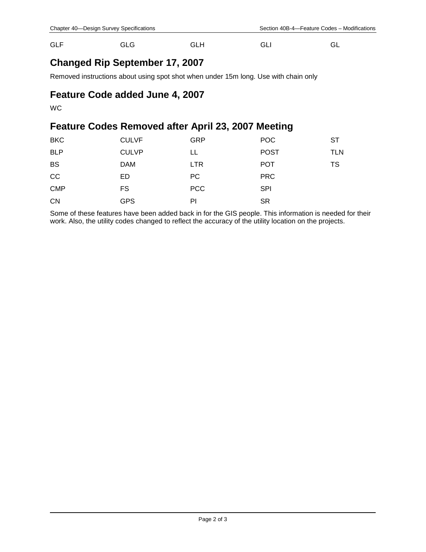| <b>GLF</b> | <b>GLG</b> | <b>GLH</b> | GLI | GL |
|------------|------------|------------|-----|----|
|            |            |            |     |    |

#### **Changed Rip September 17, 2007**

Removed instructions about using spot shot when under 15m long. Use with chain only

#### **Feature Code added June 4, 2007**

WC

### **Feature Codes Removed after April 23, 2007 Meeting**

| <b>BKC</b> | <b>CULVF</b> | <b>GRP</b> | <b>POC</b>  | ST         |
|------------|--------------|------------|-------------|------------|
| <b>BLP</b> | <b>CULVP</b> | LL         | <b>POST</b> | <b>TLN</b> |
| <b>BS</b>  | <b>DAM</b>   | <b>LTR</b> | <b>POT</b>  | TS         |
| cc         | ED           | <b>PC</b>  | <b>PRC</b>  |            |
| <b>CMP</b> | FS           | <b>PCC</b> | <b>SPI</b>  |            |
| <b>CN</b>  | <b>GPS</b>   | PI         | <b>SR</b>   |            |

Some of these features have been added back in for the GIS people. This information is needed for their work. Also, the utility codes changed to reflect the accuracy of the utility location on the projects.